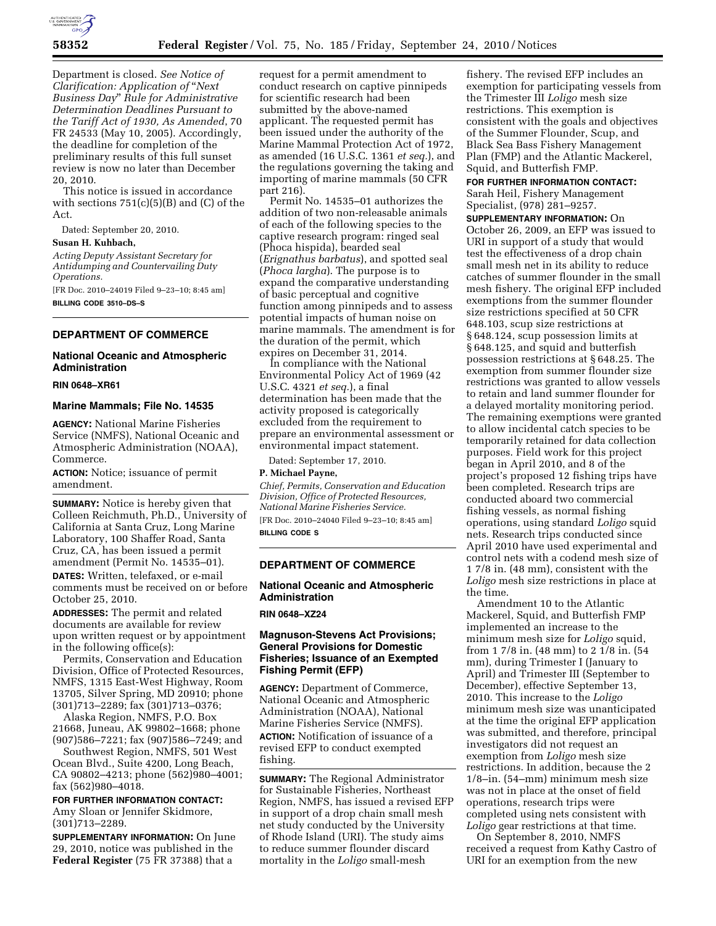

Department is closed. *See Notice of Clarification: Application of* ''*Next Business Day*'' *Rule for Administrative Determination Deadlines Pursuant to the Tariff Act of 1930, As Amended*, 70 FR 24533 (May 10, 2005). Accordingly, the deadline for completion of the preliminary results of this full sunset review is now no later than December 20, 2010.

This notice is issued in accordance with sections  $751(c)(5)(B)$  and (C) of the Act.

Dated: September 20, 2010.

## **Susan H. Kuhbach,**

*Acting Deputy Assistant Secretary for Antidumping and Countervailing Duty Operations.* 

[FR Doc. 2010–24019 Filed 9–23–10; 8:45 am] **BILLING CODE 3510–DS–S** 

# **DEPARTMENT OF COMMERCE**

# **National Oceanic and Atmospheric Administration**

#### **RIN 0648–XR61**

#### **Marine Mammals; File No. 14535**

**AGENCY:** National Marine Fisheries Service (NMFS), National Oceanic and Atmospheric Administration (NOAA), Commerce.

**ACTION:** Notice; issuance of permit amendment.

**SUMMARY:** Notice is hereby given that Colleen Reichmuth, Ph.D., University of California at Santa Cruz, Long Marine Laboratory, 100 Shaffer Road, Santa Cruz, CA, has been issued a permit amendment (Permit No. 14535–01).

**DATES:** Written, telefaxed, or e-mail comments must be received on or before October 25, 2010.

**ADDRESSES:** The permit and related documents are available for review upon written request or by appointment in the following office(s):

Permits, Conservation and Education Division, Office of Protected Resources, NMFS, 1315 East-West Highway, Room 13705, Silver Spring, MD 20910; phone (301)713–2289; fax (301)713–0376;

Alaska Region, NMFS, P.O. Box 21668, Juneau, AK 99802–1668; phone (907)586–7221; fax (907)586–7249; and

Southwest Region, NMFS, 501 West Ocean Blvd., Suite 4200, Long Beach, CA 90802–4213; phone (562)980–4001; fax (562)980–4018.

**FOR FURTHER INFORMATION CONTACT:**  Amy Sloan or Jennifer Skidmore, (301)713–2289.

**SUPPLEMENTARY INFORMATION:** On June 29, 2010, notice was published in the **Federal Register** (75 FR 37388) that a

request for a permit amendment to conduct research on captive pinnipeds for scientific research had been submitted by the above-named applicant. The requested permit has been issued under the authority of the Marine Mammal Protection Act of 1972, as amended (16 U.S.C. 1361 *et seq.*), and the regulations governing the taking and importing of marine mammals (50 CFR part 216).

Permit No. 14535–01 authorizes the addition of two non-releasable animals of each of the following species to the captive research program: ringed seal (Phoca hispida), bearded seal (*Erignathus barbatus*), and spotted seal (*Phoca largha*). The purpose is to expand the comparative understanding of basic perceptual and cognitive function among pinnipeds and to assess potential impacts of human noise on marine mammals. The amendment is for the duration of the permit, which expires on December 31, 2014.

In compliance with the National Environmental Policy Act of 1969 (42 U.S.C. 4321 *et seq.*), a final determination has been made that the activity proposed is categorically excluded from the requirement to prepare an environmental assessment or environmental impact statement.

Dated: September 17, 2010.

# **P. Michael Payne,**

*Chief, Permits, Conservation and Education Division, Office of Protected Resources, National Marine Fisheries Service.* 

[FR Doc. 2010–24040 Filed 9–23–10; 8:45 am] **BILLING CODE S** 

# **DEPARTMENT OF COMMERCE**

# **National Oceanic and Atmospheric Administration**

# **RIN 0648–XZ24**

# **Magnuson-Stevens Act Provisions; General Provisions for Domestic Fisheries; Issuance of an Exempted Fishing Permit (EFP)**

**AGENCY:** Department of Commerce, National Oceanic and Atmospheric Administration (NOAA), National Marine Fisheries Service (NMFS). **ACTION:** Notification of issuance of a revised EFP to conduct exempted fishing.

**SUMMARY:** The Regional Administrator for Sustainable Fisheries, Northeast Region, NMFS, has issued a revised EFP in support of a drop chain small mesh net study conducted by the University of Rhode Island (URI). The study aims to reduce summer flounder discard mortality in the *Loligo* small-mesh

fishery. The revised EFP includes an exemption for participating vessels from the Trimester III *Loligo* mesh size restrictions. This exemption is consistent with the goals and objectives of the Summer Flounder, Scup, and Black Sea Bass Fishery Management Plan (FMP) and the Atlantic Mackerel, Squid, and Butterfish FMP.

# **FOR FURTHER INFORMATION CONTACT:**  Sarah Heil, Fishery Management Specialist, (978) 281–9257.

**SUPPLEMENTARY INFORMATION:** On October 26, 2009, an EFP was issued to URI in support of a study that would test the effectiveness of a drop chain small mesh net in its ability to reduce catches of summer flounder in the small mesh fishery. The original EFP included exemptions from the summer flounder size restrictions specified at 50 CFR 648.103, scup size restrictions at § 648.124, scup possession limits at § 648.125, and squid and butterfish possession restrictions at § 648.25. The exemption from summer flounder size restrictions was granted to allow vessels to retain and land summer flounder for a delayed mortality monitoring period. The remaining exemptions were granted to allow incidental catch species to be temporarily retained for data collection purposes. Field work for this project began in April 2010, and 8 of the project's proposed 12 fishing trips have been completed. Research trips are conducted aboard two commercial fishing vessels, as normal fishing operations, using standard *Loligo* squid nets. Research trips conducted since April 2010 have used experimental and control nets with a codend mesh size of 1 7/8 in. (48 mm), consistent with the *Loligo* mesh size restrictions in place at the time.

Amendment 10 to the Atlantic Mackerel, Squid, and Butterfish FMP implemented an increase to the minimum mesh size for *Loligo* squid, from 1 7/8 in. (48 mm) to 2 1/8 in. (54 mm), during Trimester I (January to April) and Trimester III (September to December), effective September 13, 2010. This increase to the *Loligo*  minimum mesh size was unanticipated at the time the original EFP application was submitted, and therefore, principal investigators did not request an exemption from *Loligo* mesh size restrictions. In addition, because the 2 1/8–in. (54–mm) minimum mesh size was not in place at the onset of field operations, research trips were completed using nets consistent with *Loligo* gear restrictions at that time.

On September 8, 2010, NMFS received a request from Kathy Castro of URI for an exemption from the new